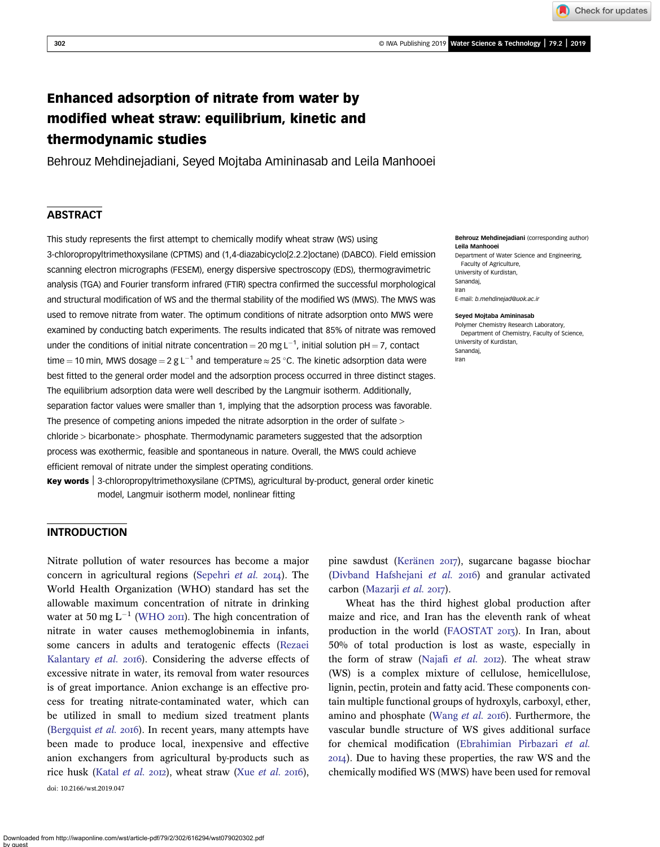# Enhanced adsorption of nitrate from water by modified wheat straw: equilibrium, kinetic and thermodynamic studies

Behrouz Mehdinejadiani, Seyed Mojtaba Amininasab and Leila Manhooei

# ABSTRACT

This study represents the first attempt to chemically modify wheat straw (WS) using 3-chloropropyltrimethoxysilane (CPTMS) and (1,4-diazabicyclo[2.2.2]octane) (DABCO). Field emission scanning electron micrographs (FESEM), energy dispersive spectroscopy (EDS), thermogravimetric analysis (TGA) and Fourier transform infrared (FTIR) spectra confirmed the successful morphological and structural modification of WS and the thermal stability of the modified WS (MWS). The MWS was used to remove nitrate from water. The optimum conditions of nitrate adsorption onto MWS were examined by conducting batch experiments. The results indicated that 85% of nitrate was removed under the conditions of initial nitrate concentration = 20 mg L<sup>-1</sup>, initial solution pH = 7, contact time = 10 min, MWS dosage = 2 g L<sup>-1</sup> and temperature  $\approx$  25 °C. The kinetic adsorption data were best fitted to the general order model and the adsorption process occurred in three distinct stages. The equilibrium adsorption data were well described by the Langmuir isotherm. Additionally, separation factor values were smaller than 1, implying that the adsorption process was favorable. The presence of competing anions impeded the nitrate adsorption in the order of sulfate > chloride > bicarbonate> phosphate. Thermodynamic parameters suggested that the adsorption process was exothermic, feasible and spontaneous in nature. Overall, the MWS could achieve efficient removal of nitrate under the simplest operating conditions.

Key words | 3-chloropropyltrimethoxysilane (CPTMS), agricultural by-product, general order kinetic model, Langmuir isotherm model, nonlinear fitting

#### Behrouz Mehdinejadiani (corresponding author) Leila Manhooei

Check for updates

Department of Water Science and Engineering, Faculty of Agriculture, University of Kurdistan, Sanandaj, Iran E-mail: [b.mehdinejad@uok.ac.ir](mailto:b.mehdinejad@uok.ac.ir)

#### Seyed Mojtaba Amininasab

Polymer Chemistry Research Laboratory, Department of Chemistry, Faculty of Science, University of Kurdistan, Sanandaj, Iran

# INTRODUCTION

Nitrate pollution of water resources has become a major concern in agricultural regions [\(Sepehri](#page-11-0) et al.  $2014$ ). The World Health Organization (WHO) standard has set the allowable maximum concentration of nitrate in drinking water at 50 mg  $L^{-1}$  [\(WHO](#page-11-0) 2011). The high concentration of nitrate in water causes methemoglobinemia in infants, some cancers in adults and teratogenic effects [\(Rezaei](#page-11-0) [Kalantary](#page-11-0) *et al.* 2016). Considering the adverse effects of excessive nitrate in water, its removal from water resources is of great importance. Anion exchange is an effective process for treating nitrate-contaminated water, which can be utilized in small to medium sized treatment plants ([Bergquist](#page-10-0)  $et$   $al.$  2016). In recent years, many attempts have been made to produce local, inexpensive and effective anion exchangers from agricultural by-products such as rice husk [\(Katal](#page-10-0) [et al.](#page-11-0) 2012), wheat straw (Xue et al. 2016), doi: 10.2166/wst.2019.047

pine sawdust ([Keränen](#page-10-0) 2017), sugarcane bagasse biochar ([Divband Hafshejani](#page-10-0) et al. 2016) and granular activated carbon ([Mazarji](#page-11-0) et al. 2017).

Wheat has the third highest global production after maize and rice, and Iran has the eleventh rank of wheat production in the world ([FAOSTAT](#page-10-0) 2013). In Iran, about 50% of total production is lost as waste, especially in the form of straw [\(Najafi](#page-11-0) et al.  $20I2$ ). The wheat straw (WS) is a complex mixture of cellulose, hemicellulose, lignin, pectin, protein and fatty acid. These components contain multiple functional groups of hydroxyls, carboxyl, ether, amino and phosphate [\(Wang](#page-11-0)  $et$   $al.$   $2016$ ). Furthermore, the vascular bundle structure of WS gives additional surface for chemical modification ([Ebrahimian Pirbazari](#page-10-0) et al. ). Due to having these properties, the raw WS and the chemically modified WS (MWS) have been used for removal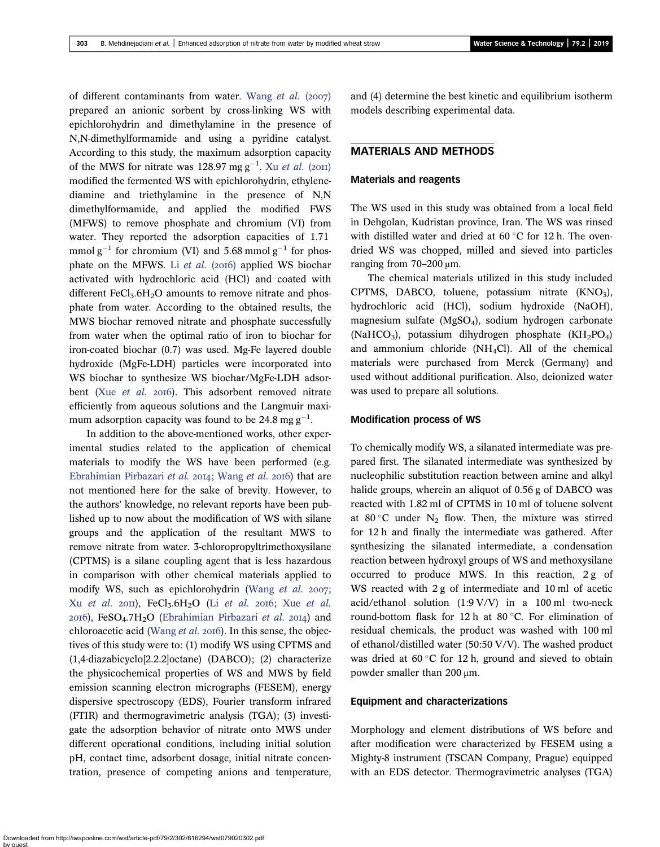of different contaminants from water. [Wang](#page-11-0) et al.  $(2007)$ prepared an anionic sorbent by cross-linking WS with epichlorohydrin and dimethylamine in the presence of N,N-dimethylformamide and using a pyridine catalyst. According to this study, the maximum adsorption capacity of the MWS for nitrate was 128.97 mg  $g^{-1}$ . Xu *[et al.](#page-11-0)* (2011) modified the fermented WS with epichlorohydrin, ethylenediamine and triethylamine in the presence of N,N dimethylformamide, and applied the modified FWS (MFWS) to remove phosphate and chromium (VI) from water. They reported the adsorption capacities of 1.71 mmol  $g^{-1}$  for chromium (VI) and 5.68 mmol  $g^{-1}$  for phosphate on the MFWS. Li [et al.](#page-10-0) (2016) applied WS biochar activated with hydrochloric acid (HCl) and coated with different  $FeCl<sub>3</sub>.6H<sub>2</sub>O$  amounts to remove nitrate and phosphate from water. According to the obtained results, the MWS biochar removed nitrate and phosphate successfully from water when the optimal ratio of iron to biochar for iron-coated biochar (0.7) was used. Mg-Fe layered double hydroxide (MgFe-LDH) particles were incorporated into WS biochar to synthesize WS biochar/MgFe-LDH adsorbent (Xue [et al.](#page-11-0) 2016). This adsorbent removed nitrate efficiently from aqueous solutions and the Langmuir maximum adsorption capacity was found to be 24.8 mg  $g^{-1}$ .

In addition to the above-mentioned works, other experimental studies related to the application of chemical materials to modify the WS have been performed (e.g. [Ebrahimian Pirbazari](#page-10-0) et al. 2014; [Wang](#page-11-0) et al. 2016) that are not mentioned here for the sake of brevity. However, to the authors' knowledge, no relevant reports have been published up to now about the modification of WS with silane groups and the application of the resultant MWS to remove nitrate from water. 3-chloropropyltrimethoxysilane (CPTMS) is a silane coupling agent that is less hazardous in comparison with other chemical materials applied to modify WS, such as epichlorohydrin [\(Wang](#page-11-0) et al.  $2007$ ; Xu [et al.](#page-11-0) 2011), FeCl<sub>3</sub>.6H<sub>2</sub>O (Li et al. 2016; Xue et al.  $20I6$ ), FeSO<sub>4</sub>.7H<sub>2</sub>O ([Ebrahimian Pirbazari](#page-10-0) et al.  $20I4$ ) and chloroacetic acid ([Wang](#page-11-0) et al. 2016). In this sense, the objectives of this study were to: (1) modify WS using CPTMS and (1,4-diazabicyclo[2.2.2]octane) (DABCO); (2) characterize the physicochemical properties of WS and MWS by field emission scanning electron micrographs (FESEM), energy dispersive spectroscopy (EDS), Fourier transform infrared (FTIR) and thermogravimetric analysis (TGA); (3) investigate the adsorption behavior of nitrate onto MWS under different operational conditions, including initial solution pH, contact time, adsorbent dosage, initial nitrate concentration, presence of competing anions and temperature, and (4) determine the best kinetic and equilibrium isotherm models describing experimental data.

# MATERIALS AND METHODS

#### Materials and reagents

The WS used in this study was obtained from a local field in Dehgolan, Kudristan province, Iran. The WS was rinsed with distilled water and dried at  $60^{\circ}$ C for 12 h. The ovendried WS was chopped, milled and sieved into particles ranging from  $70-200$  μm.

The chemical materials utilized in this study included CPTMS, DABCO, toluene, potassium nitrate (KNO3), hydrochloric acid (HCl), sodium hydroxide (NaOH), magnesium sulfate (MgSO4), sodium hydrogen carbonate (NaHCO<sub>3</sub>), potassium dihydrogen phosphate (KH<sub>2</sub>PO<sub>4</sub>) and ammonium chloride (NH4Cl). All of the chemical materials were purchased from Merck (Germany) and used without additional purification. Also, deionized water was used to prepare all solutions.

### Modification process of WS

To chemically modify WS, a silanated intermediate was prepared first. The silanated intermediate was synthesized by nucleophilic substitution reaction between amine and alkyl halide groups, wherein an aliquot of 0.56 g of DABCO was reacted with 1.82 ml of CPTMS in 10 ml of toluene solvent at 80 °C under  $N_2$  flow. Then, the mixture was stirred for 12 h and finally the intermediate was gathered. After synthesizing the silanated intermediate, a condensation reaction between hydroxyl groups of WS and methoxysilane occurred to produce MWS. In this reaction, 2 g of WS reacted with 2 g of intermediate and 10 ml of acetic acid/ethanol solution (1:9 V/V) in a 100 ml two-neck round-bottom flask for 12 h at 80 °C. For elimination of residual chemicals, the product was washed with 100 ml of ethanol/distilled water (50:50 V/V). The washed product was dried at  $60^{\circ}$ C for 12 h, ground and sieved to obtain powder smaller than 200 μm.

#### Equipment and characterizations

Morphology and element distributions of WS before and after modification were characterized by FESEM using a Mighty-8 instrument (TSCAN Company, Prague) equipped with an EDS detector. Thermogravimetric analyses (TGA)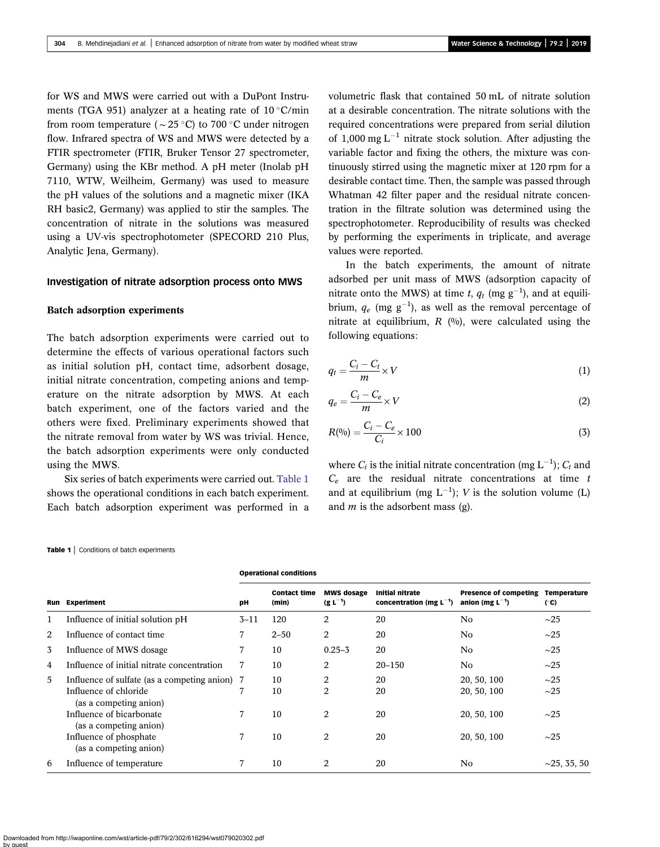<span id="page-2-0"></span>for WS and MWS were carried out with a DuPont Instruments (TGA 951) analyzer at a heating rate of  $10^{\circ}$ C/min from room temperature ( $\sim$  25 °C) to 700 °C under nitrogen flow. Infrared spectra of WS and MWS were detected by a FTIR spectrometer (FTIR, Bruker Tensor 27 spectrometer, Germany) using the KBr method. A pH meter (Inolab pH 7110, WTW, Weilheim, Germany) was used to measure the pH values of the solutions and a magnetic mixer (IKA RH basic2, Germany) was applied to stir the samples. The concentration of nitrate in the solutions was measured using a UV-vis spectrophotometer (SPECORD 210 Plus, Analytic Jena, Germany).

### Investigation of nitrate adsorption process onto MWS

#### Batch adsorption experiments

The batch adsorption experiments were carried out to determine the effects of various operational factors such as initial solution pH, contact time, adsorbent dosage, initial nitrate concentration, competing anions and temperature on the nitrate adsorption by MWS. At each batch experiment, one of the factors varied and the others were fixed. Preliminary experiments showed that the nitrate removal from water by WS was trivial. Hence, the batch adsorption experiments were only conducted using the MWS.

Six series of batch experiments were carried out. Table 1 shows the operational conditions in each batch experiment. Each batch adsorption experiment was performed in a volumetric flask that contained 50 mL of nitrate solution at a desirable concentration. The nitrate solutions with the required concentrations were prepared from serial dilution of 1,000 mg  $L^{-1}$  nitrate stock solution. After adjusting the variable factor and fixing the others, the mixture was continuously stirred using the magnetic mixer at 120 rpm for a desirable contact time. Then, the sample was passed through Whatman 42 filter paper and the residual nitrate concentration in the filtrate solution was determined using the spectrophotometer. Reproducibility of results was checked by performing the experiments in triplicate, and average values were reported.

In the batch experiments, the amount of nitrate adsorbed per unit mass of MWS (adsorption capacity of nitrate onto the MWS) at time t,  $q_t$  (mg  $g^{-1}$ ), and at equilibrium,  $q_e$  (mg  $g^{-1}$ ), as well as the removal percentage of nitrate at equilibrium,  $R$  (%), were calculated using the following equations:

$$
q_t = \frac{C_i - C_t}{m} \times V \tag{1}
$$

$$
q_e = \frac{C_i - C_e}{m} \times V \tag{2}
$$

$$
R(^{0}_{0}) = \frac{C_{i} - C_{e}}{C_{i}} \times 100
$$
\n(3)

where  $C_i$  is the initial nitrate concentration (mg  $L^{-1}$ );  $C_t$  and  $C_e$  are the residual nitrate concentrations at time t and at equilibrium (mg  $L^{-1}$ ); V is the solution volume (L) and  $m$  is the adsorbent mass (g).

#### Table 1 | Conditions of batch experiments

| Run | <b>Experiment</b>                                                                                | pН       | <b>Contact time</b><br>(min) | <b>MWS dosage</b><br>$(g L^{-1})$ | <b>Initial nitrate</b><br>concentration (mg $L^{-1}$ ) | <b>Presence of competing</b><br>anion (mg $L^{-1}$ ) | Temperature<br>(°C)    |
|-----|--------------------------------------------------------------------------------------------------|----------|------------------------------|-----------------------------------|--------------------------------------------------------|------------------------------------------------------|------------------------|
|     | Influence of initial solution pH                                                                 | $3 - 11$ | 120                          | $\overline{2}$                    | 20                                                     | No                                                   | $\sim$ 25              |
| 2   | Influence of contact time                                                                        |          | $2 - 50$                     | 2                                 | 20                                                     | N <sub>0</sub>                                       | $\sim$ 25              |
| 3   | Influence of MWS dosage                                                                          |          | 10                           | $0.25 - 3$                        | 20                                                     | N <sub>0</sub>                                       | $\sim$ 25              |
| 4   | Influence of initial nitrate concentration                                                       |          | 10                           | 2                                 | $20 - 150$                                             | N <sub>0</sub>                                       | $\sim$ 25              |
| 5   | Influence of sulfate (as a competing anion) 7<br>Influence of chloride<br>(as a competing anion) |          | 10<br>10                     | $\overline{2}$<br>$\overline{2}$  | 20<br>20                                               | 20, 50, 100<br>20, 50, 100                           | $\sim$ 25<br>$\sim$ 25 |
|     | Influence of bicarbonate<br>(as a competing anion)                                               |          | 10                           | $\overline{2}$                    | 20                                                     | 20, 50, 100                                          | $\sim$ 25              |
|     | Influence of phosphate<br>(as a competing anion)                                                 |          | 10                           | $\overline{2}$                    | 20                                                     | 20, 50, 100                                          | $\sim$ 25              |
| 6   | Influence of temperature                                                                         |          | 10                           | $\overline{2}$                    | 20                                                     | N <sub>0</sub>                                       | $\sim$ 25, 35, 50      |

Operational conditions

Downloaded from http://iwaponline.com/wst/article-pdf/79/2/302/616294/wst079020302.pdf by guest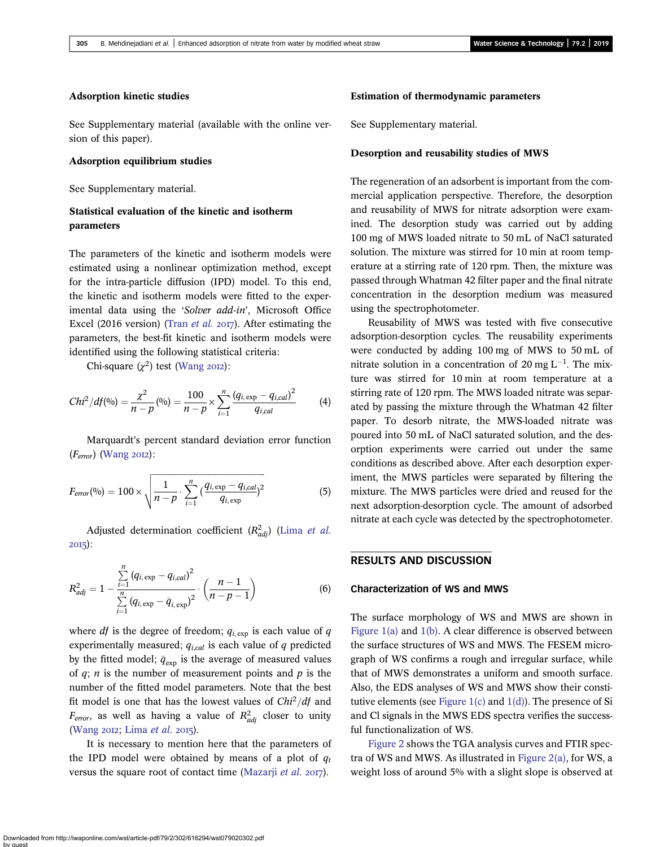# Adsorption kinetic studies

See Supplementary material (available with the online version of this paper).

#### Adsorption equilibrium studies

See Supplementary material.

# Statistical evaluation of the kinetic and isotherm parameters

The parameters of the kinetic and isotherm models were estimated using a nonlinear optimization method, except for the intra-particle diffusion (IPD) model. To this end, the kinetic and isotherm models were fitted to the experimental data using the 'Solver add-in', Microsoft Office Excel (2016 version) (Tran *[et al.](#page-11-0)* 2017). After estimating the parameters, the best-fit kinetic and isotherm models were identified using the following statistical criteria:

Chi-square  $(\chi^2)$  test ([Wang](#page-11-0) 2012):

$$
Chi^{2}/df(9/0) = \frac{\chi^{2}}{n-p}(9/0) = \frac{100}{n-p} \times \sum_{i=1}^{n} \frac{(q_{i,\exp} - q_{i,cal})^{2}}{q_{i,cal}} \tag{4}
$$

Marquardt's percent standard deviation error function  $(F_{error})$  [\(Wang](#page-11-0) 2012):

$$
F_{error}(0/0) = 100 \times \sqrt{\frac{1}{n-p} \cdot \sum_{i=1}^{n} \left(\frac{q_{i,exp} - q_{i,cal}}{q_{i,exp}}\right)^2}
$$
(5)

Adjusted determination coefficient  $(R^2_{adj})$  (Lima [et al.](#page-11-0)  $20I5$ ):

$$
R_{adj}^2 = 1 - \frac{\sum_{i=1}^{n} (q_{i,\exp} - q_{i,cal})^2}{\sum_{i=1}^{n} (q_{i,\exp} - \bar{q}_{i,\exp})^2} \cdot \left(\frac{n-1}{n-p-1}\right)
$$
(6)

where  $df$  is the degree of freedom;  $q_{i, \text{exp}}$  is each value of  $q$ experimentally measured;  $q_{i,cal}$  is each value of q predicted by the fitted model;  $\bar{q}_{exp}$  is the average of measured values of  $q$ ; *n* is the number of measurement points and  $p$  is the number of the fitted model parameters. Note that the best fit model is one that has the lowest values of  $Chi^2/df$  and  $F_{\text{error}}$ , as well as having a value of  $R_{adj}^2$  closer to unity [\(Wang](#page-11-0) 2012; [Lima](#page-11-0) et al. 2015).

It is necessary to mention here that the parameters of the IPD model were obtained by means of a plot of  $q_t$ versus the square root of contact time ([Mazarji](#page-11-0) et al. 2017).

# Estimation of thermodynamic parameters

See Supplementary material.

## Desorption and reusability studies of MWS

The regeneration of an adsorbent is important from the commercial application perspective. Therefore, the desorption and reusability of MWS for nitrate adsorption were examined. The desorption study was carried out by adding 100 mg of MWS loaded nitrate to 50 mL of NaCl saturated solution. The mixture was stirred for 10 min at room temperature at a stirring rate of 120 rpm. Then, the mixture was passed through Whatman 42 filter paper and the final nitrate concentration in the desorption medium was measured using the spectrophotometer.

Reusability of MWS was tested with five consecutive adsorption-desorption cycles. The reusability experiments were conducted by adding 100 mg of MWS to 50 mL of nitrate solution in a concentration of 20 mg  $L^{-1}$ . The mixture was stirred for 10 min at room temperature at a stirring rate of 120 rpm. The MWS loaded nitrate was separated by passing the mixture through the Whatman 42 filter paper. To desorb nitrate, the MWS-loaded nitrate was poured into 50 mL of NaCl saturated solution, and the desorption experiments were carried out under the same conditions as described above. After each desorption experiment, the MWS particles were separated by filtering the mixture. The MWS particles were dried and reused for the next adsorption-desorption cycle. The amount of adsorbed nitrate at each cycle was detected by the spectrophotometer.

# RESULTS AND DISCUSSION

### Characterization of WS and MWS

The surface morphology of WS and MWS are shown in [Figure 1\(a\)](#page-4-0) and [1\(b\).](#page-4-0) A clear difference is observed between the surface structures of WS and MWS. The FESEM micrograph of WS confirms a rough and irregular surface, while that of MWS demonstrates a uniform and smooth surface. Also, the EDS analyses of WS and MWS show their constitutive elements (see Figure  $1(c)$  and  $1(d)$ ). The presence of Si and Cl signals in the MWS EDS spectra verifies the successful functionalization of WS.

[Figure 2](#page-5-0) shows the TGA analysis curves and FTIR spectra of WS and MWS. As illustrated in [Figure 2\(a\)](#page-5-0), for WS, a weight loss of around 5% with a slight slope is observed at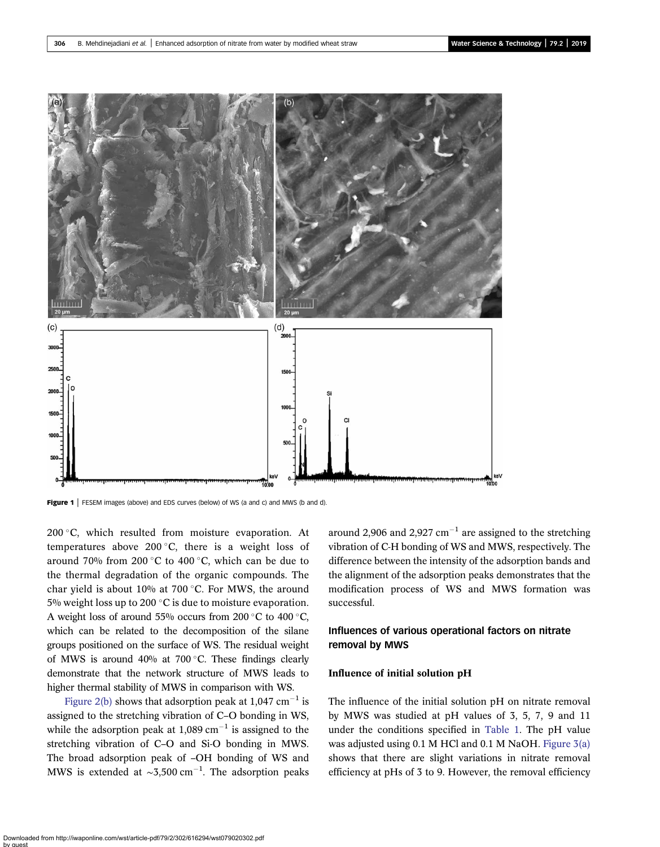<span id="page-4-0"></span>

Figure 1 | FESEM images (above) and EDS curves (below) of WS (a and c) and MWS (b and d).

200 $\degree$ C, which resulted from moisture evaporation. At temperatures above 200 $\degree$ C, there is a weight loss of around 70% from 200 °C to 400 °C, which can be due to the thermal degradation of the organic compounds. The char yield is about 10% at 700 $\degree$ C. For MWS, the around 5% weight loss up to 200  $\degree$ C is due to moisture evaporation. A weight loss of around 55% occurs from 200  $\degree$ C to 400  $\degree$ C, which can be related to the decomposition of the silane groups positioned on the surface of WS. The residual weight of MWS is around 40% at 700 $^{\circ}$ C. These findings clearly demonstrate that the network structure of MWS leads to higher thermal stability of MWS in comparison with WS.

[Figure 2\(b\)](#page-5-0) shows that adsorption peak at  $1,047$  cm<sup>-1</sup> is assigned to the stretching vibration of C–O bonding in WS, while the adsorption peak at  $1,089$  cm<sup>-1</sup> is assigned to the stretching vibration of C–O and Si-O bonding in MWS. The broad adsorption peak of –OH bonding of WS and MWS is extended at  $\sim 3,500 \text{ cm}^{-1}$ . The adsorption peaks

around 2,906 and 2,927  $cm^{-1}$  are assigned to the stretching vibration of C-H bonding of WS and MWS, respectively. The difference between the intensity of the adsorption bands and the alignment of the adsorption peaks demonstrates that the modification process of WS and MWS formation was successful.

# Influences of various operational factors on nitrate removal by MWS

# Influence of initial solution pH

The influence of the initial solution pH on nitrate removal by MWS was studied at pH values of 3, 5, 7, 9 and 11 under the conditions specified in [Table 1.](#page-2-0) The pH value was adjusted using 0.1 M HCl and 0.1 M NaOH. [Figure 3\(a\)](#page-6-0) shows that there are slight variations in nitrate removal efficiency at pHs of 3 to 9. However, the removal efficiency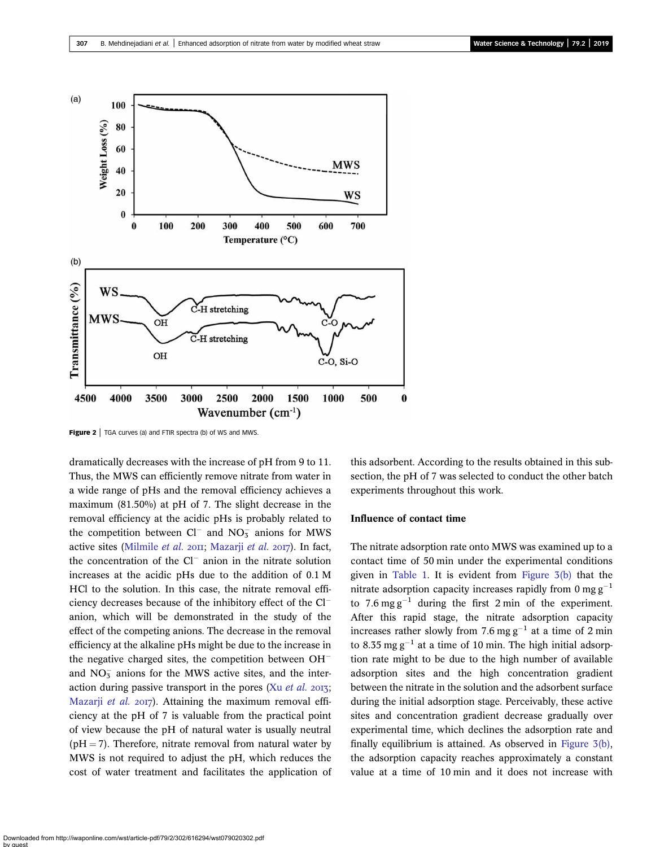<span id="page-5-0"></span>

**Figure 2** | TGA curves (a) and FTIR spectra (b) of WS and MWS.

dramatically decreases with the increase of pH from 9 to 11. Thus, the MWS can efficiently remove nitrate from water in a wide range of pHs and the removal efficiency achieves a maximum (81.50%) at pH of 7. The slight decrease in the removal efficiency at the acidic pHs is probably related to the competition between  $Cl^-$  and  $NO_3^-$  anions for MWS active sites ([Milmile](#page-11-0) et al. 2011; [Mazarji](#page-11-0) et al. 2017). In fact, the concentration of the  $Cl^-$  anion in the nitrate solution increases at the acidic pHs due to the addition of 0.1 M HCl to the solution. In this case, the nitrate removal efficiency decreases because of the inhibitory effect of the Cl anion, which will be demonstrated in the study of the effect of the competing anions. The decrease in the removal efficiency at the alkaline pHs might be due to the increase in the negative charged sites, the competition between  $OH^$ and  $NO<sub>3</sub><sup>-</sup>$  anions for the MWS active sites, and the interaction during passive transport in the pores (Xu [et al.](#page-11-0)  $2013$ ; [Mazarji](#page-11-0) et al. 2017). Attaining the maximum removal efficiency at the pH of 7 is valuable from the practical point of view because the pH of natural water is usually neutral  $(pH = 7)$ . Therefore, nitrate removal from natural water by MWS is not required to adjust the pH, which reduces the cost of water treatment and facilitates the application of this adsorbent. According to the results obtained in this subsection, the pH of 7 was selected to conduct the other batch experiments throughout this work.

#### Influence of contact time

The nitrate adsorption rate onto MWS was examined up to a contact time of 50 min under the experimental conditions given in [Table 1.](#page-2-0) It is evident from [Figure 3\(b\)](#page-6-0) that the nitrate adsorption capacity increases rapidly from 0 mg  $g^{-1}$ to 7.6 mg  $g^{-1}$  during the first 2 min of the experiment. After this rapid stage, the nitrate adsorption capacity increases rather slowly from 7.6 mg  $g^{-1}$  at a time of 2 min to 8.35 mg  $g^{-1}$  at a time of 10 min. The high initial adsorption rate might to be due to the high number of available adsorption sites and the high concentration gradient between the nitrate in the solution and the adsorbent surface during the initial adsorption stage. Perceivably, these active sites and concentration gradient decrease gradually over experimental time, which declines the adsorption rate and finally equilibrium is attained. As observed in [Figure 3\(b\),](#page-6-0) the adsorption capacity reaches approximately a constant value at a time of 10 min and it does not increase with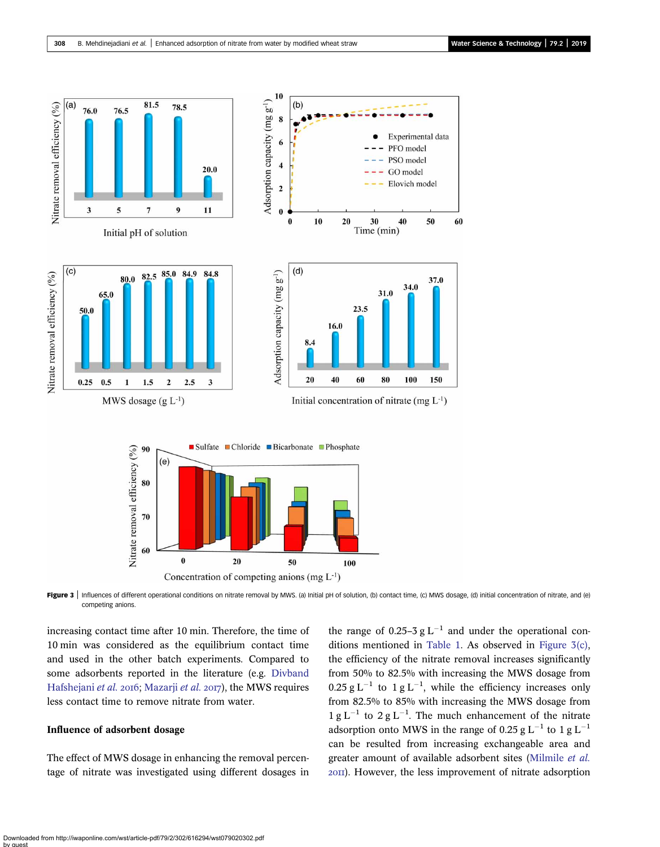<span id="page-6-0"></span>

Figure 3 | Influences of different operational conditions on nitrate removal by MWS. (a) Initial pH of solution, (b) contact time, (c) MWS dosage, (d) initial concentration of nitrate, and (e) competing anions.

increasing contact time after 10 min. Therefore, the time of 10 min was considered as the equilibrium contact time and used in the other batch experiments. Compared to some adsorbents reported in the literature (e.g. [Divband](#page-10-0) [Hafshejani](#page-10-0) et al. 2016; [Mazarji](#page-11-0) et al. 2017), the MWS requires less contact time to remove nitrate from water.

# Influence of adsorbent dosage

The effect of MWS dosage in enhancing the removal percentage of nitrate was investigated using different dosages in

the range of 0.25–3  $g L^{-1}$  and under the operational conditions mentioned in [Table 1](#page-2-0). As observed in Figure 3(c), the efficiency of the nitrate removal increases significantly from 50% to 82.5% with increasing the MWS dosage from  $0.25$  g L<sup>-1</sup> to 1 g L<sup>-1</sup>, while the efficiency increases only from 82.5% to 85% with increasing the MWS dosage from  $1 g L^{-1}$  to  $2 g L^{-1}$ . The much enhancement of the nitrate adsorption onto MWS in the range of 0.25 g  $L^{-1}$  to 1 g  $L^{-1}$ can be resulted from increasing exchangeable area and greater amount of available adsorbent sites [\(Milmile](#page-11-0) et al. ). However, the less improvement of nitrate adsorption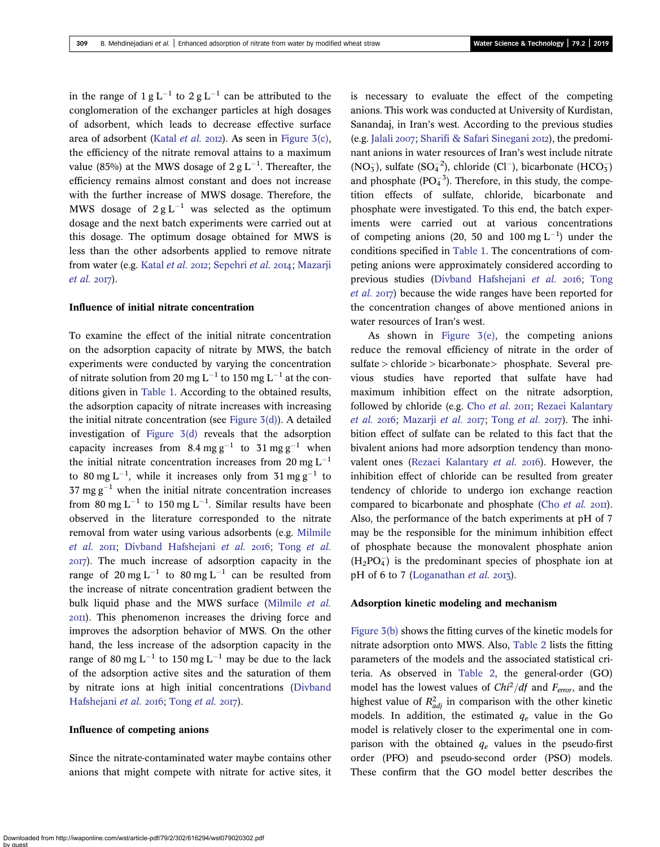in the range of  $1 \text{ g L}^{-1}$  to  $2 \text{ g L}^{-1}$  can be attributed to the conglomeration of the exchanger particles at high dosages of adsorbent, which leads to decrease effective surface area of adsorbent ([Katal](#page-10-0) et al. 2012). As seen in Figure  $3(c)$ , the efficiency of the nitrate removal attains to a maximum value (85%) at the MWS dosage of 2 g  $\mathrm{L}^{-1}.$  Thereafter, the efficiency remains almost constant and does not increase with the further increase of MWS dosage. Therefore, the MWS dosage of  $2 g L^{-1}$  was selected as the optimum dosage and the next batch experiments were carried out at this dosage. The optimum dosage obtained for MWS is less than the other adsorbents applied to remove nitrate from water (e.g. [Katal](#page-10-0) et al. 2012; [Sepehri](#page-11-0) et al. 2014; [Mazarji](#page-11-0)  $et$  al.  $2017$ ).

#### Influence of initial nitrate concentration

To examine the effect of the initial nitrate concentration on the adsorption capacity of nitrate by MWS, the batch experiments were conducted by varying the concentration of nitrate solution from 20 mg L<sup>-1</sup> to 150 mg L<sup>-1</sup> at the conditions given in [Table 1](#page-2-0). According to the obtained results, the adsorption capacity of nitrate increases with increasing the initial nitrate concentration (see Figure  $3(d)$ ). A detailed investigation of [Figure 3\(d\)](#page-6-0) reveals that the adsorption capacity increases from 8.4 mg  $g^{-1}$  to 31 mg  $g^{-1}$  when the initial nitrate concentration increases from 20 mg  $L^{-1}$ to 80 mg L<sup>-1</sup>, while it increases only from 31 mg g<sup>-1</sup> to 37 mg  $g^{-1}$  when the initial nitrate concentration increases from 80 mg L<sup>-1</sup> to 150 mg L<sup>-1</sup>. Similar results have been observed in the literature corresponded to the nitrate removal from water using various adsorbents (e.g. [Milmile](#page-11-0) [et al.](#page-11-0) 2011; [Divband Hafshejani](#page-10-0) et al. 2016; Tong et al. ). The much increase of adsorption capacity in the range of 20 mg L<sup>-1</sup> to 80 mg L<sup>-1</sup> can be resulted from the increase of nitrate concentration gradient between the bulk liquid phase and the MWS surface [\(Milmile](#page-11-0) et al. ). This phenomenon increases the driving force and improves the adsorption behavior of MWS. On the other hand, the less increase of the adsorption capacity in the range of 80 mg L<sup>-1</sup> to 150 mg L<sup>-1</sup> may be due to the lack of the adsorption active sites and the saturation of them by nitrate ions at high initial concentrations [\(Divband](#page-10-0) [Hafshejani](#page-10-0) et al. 2016; [Tong](#page-11-0) et al. 2017).

#### Influence of competing anions

Since the nitrate-contaminated water maybe contains other anions that might compete with nitrate for active sites, it is necessary to evaluate the effect of the competing anions. This work was conducted at University of Kurdistan, Sanandaj, in Iran's west. According to the previous studies (e.g. [Jalali](#page-10-0)  $2007$ ; [Sharifi & Safari Sinegani](#page-11-0)  $2012$ ), the predominant anions in water resources of Iran's west include nitrate (NO<sub>3</sub>), sulfate (SO<sub>4</sub><sup>2</sup>), chloride (Cl<sup>-</sup>), bicarbonate (HCO<sub>3</sub>) and phosphate  $(PO<sub>4</sub><sup>-3</sup>)$ . Therefore, in this study, the competition effects of sulfate, chloride, bicarbonate and phosphate were investigated. To this end, the batch experiments were carried out at various concentrations of competing anions (20, 50 and 100 mg  $L^{-1}$ ) under the conditions specified in [Table 1.](#page-2-0) The concentrations of competing anions were approximately considered according to previous studies ([Divband Hafshejani](#page-10-0) et al. 2016; [Tong](#page-11-0) [et al.](#page-11-0) 2017) because the wide ranges have been reported for the concentration changes of above mentioned anions in water resources of Iran's west.

As shown in Figure  $3(e)$ , the competing anions reduce the removal efficiency of nitrate in the order of sulfate > chloride > bicarbonate > phosphate. Several previous studies have reported that sulfate have had maximum inhibition effect on the nitrate adsorption, followed by chloride (e.g. Cho [et al.](#page-10-0) 2011; [Rezaei Kalantary](#page-11-0) [et al.](#page-11-0) 2016; [Mazarji](#page-11-0) et al. 2017; Tong et al. 2017). The inhibition effect of sulfate can be related to this fact that the bivalent anions had more adsorption tendency than mono-valent ones ([Rezaei Kalantary](#page-11-0) et al. 2016). However, the inhibition effect of chloride can be resulted from greater tendency of chloride to undergo ion exchange reaction compared to bicarbonate and phosphate (Cho  $et$  al.  $20\text{II}$ ). Also, the performance of the batch experiments at pH of 7 may be the responsible for the minimum inhibition effect of phosphate because the monovalent phosphate anion  $(H_2PO_4^-)$  is the predominant species of phosphate ion at pH of  $6$  to  $7$  [\(Loganathan](#page-11-0) et al. 2013).

#### Adsorption kinetic modeling and mechanism

[Figure 3\(b\)](#page-6-0) shows the fitting curves of the kinetic models for nitrate adsorption onto MWS. Also, [Table 2](#page-8-0) lists the fitting parameters of the models and the associated statistical criteria. As observed in [Table 2](#page-8-0), the general-order (GO) model has the lowest values of  $Chi^2/df$  and  $F_{\text{error}}$ , and the highest value of  $R_{adj}^2$  in comparison with the other kinetic models. In addition, the estimated  $q_e$  value in the Go model is relatively closer to the experimental one in comparison with the obtained  $q_e$  values in the pseudo-first order (PFO) and pseudo-second order (PSO) models. These confirm that the GO model better describes the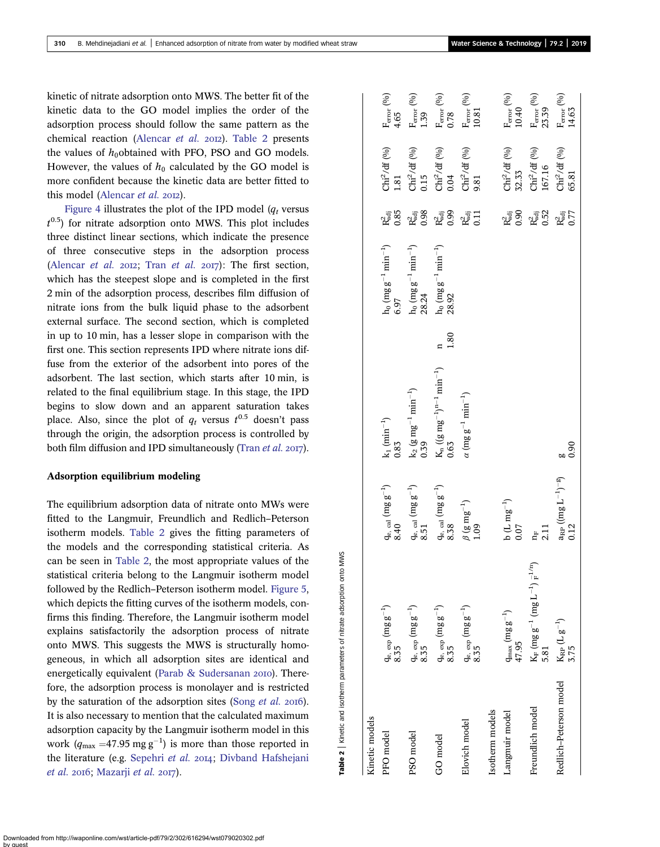<span id="page-8-0"></span>kinetic of nitrate adsorption onto MWS. The better fit of the kinetic data to the GO model implies the order of the adsorption process should follow the same pattern as the chemical reaction ([Alencar](#page-10-0) et al. 2012). Table 2 presents the values of  $h_0$ obtained with PFO, PSO and GO models. However, the values of  $h_0$  calculated by the GO model is more confident because the kinetic data are better fitted to this model [\(Alencar](#page-10-0) et al. 2012).

[Figure 4](#page-9-0) illustrates the plot of the IPD model  $(q_t$  versus  $t^{0.5}$ ) for nitrate adsorption onto MWS. This plot includes three distinct linear sections, which indicate the presence of three consecutive steps in the adsorption process ([Alencar](#page-10-0) [et al.](#page-11-0) 2012; Tran et al. 2017): The first section, which has the steepest slope and is completed in the first 2 min of the adsorption process, describes film diffusion of nitrate ions from the bulk liquid phase to the adsorbent external surface. The second section, which is completed in up to 10 min, has a lesser slope in comparison with the first one. This section represents IPD where nitrate ions diffuse from the exterior of the adsorbent into pores of the adsorbent. The last section, which starts after 10 min, is related to the final equilibrium stage. In this stage, the IPD begins to slow down and an apparent saturation takes place. Also, since the plot of  $q_t$  versus  $t^{0.5}$  doesn't pass through the origin, the adsorption process is controlled by both film diffusion and IPD simultaneously [\(Tran](#page-11-0) *et al.* 2017).

#### Adsorption equilibrium modeling

The equilibrium adsorption data of nitrate onto MWs were fitted to the Langmuir, Freundlich and Redlich–Peterson isotherm models. Table 2 gives the fitting parameters of the models and the corresponding statistical criteria. As can be seen in Table 2, the most appropriate values of the statistical criteria belong to the Langmuir isotherm model followed by the Redlich–Peterson isotherm model. [Figure 5](#page-9-0), which depicts the fitting curves of the isotherm models, confirms this finding. Therefore, the Langmuir isotherm model explains satisfactorily the adsorption process of nitrate onto MWS. This suggests the MWS is structurally homogeneous, in which all adsorption sites are identical and energetically equivalent [\(Parab & Sudersanan](#page-11-0) 2010). Therefore, the adsorption process is monolayer and is restricted by the saturation of the adsorption sites [\(Song](#page-11-0) et al. 2016). It is also necessary to mention that the calculated maximum adsorption capacity by the Langmuir isotherm model in this work  $(q_{\text{max}} = 47.95 \text{ mg g}^{-1})$  is more than those reported in the literature (e.g. [Sepehri](#page-11-0) et al. 2014; [Divband Hafshejani](#page-10-0)  $et$  al. 2016; [Mazarji](#page-11-0)  $et$  al. 2017).

Table 2 | Kinetic and isotherm parameters of nitrate adsorption onto MWS

Table 2 | Kinetic and isotherm parameters of nitrate adsorption onto MWS

| Kinetic models         |                                                                             |                                                            |                                                                                                          |      |                                                                      |                            |                                                                         |                                                |
|------------------------|-----------------------------------------------------------------------------|------------------------------------------------------------|----------------------------------------------------------------------------------------------------------|------|----------------------------------------------------------------------|----------------------------|-------------------------------------------------------------------------|------------------------------------------------|
| PFO model              | $\mathbf{q}_{\rm e,~exp}~(\text{mg g}^{-1})$ $8.35$                         | $\mathrm{q_{e,\,cal}}$ cal $(\mathrm{mg\ g^{-1}})$<br>8.40 | $k_1$ (min <sup>-1</sup> )<br>0.83                                                                       |      | $h_0$ (mg g <sup>-1</sup> min <sup>-1</sup> )<br>6.97                | $R^2_{\rm adj}$ 0.85       | $\operatorname{Chi}^{2}/\mathrm{df}$ (%)<br>1.81                        | F <sub>error</sub> (9/0)<br>4.65               |
| PSO model              | $q_{\rm e,~exp}~(\rm mg~g^{-1})$<br>8.35                                    | $q_{\rm e,\,cal}$ (mg $g^{-1})$ $8.51$                     | $\begin{array}{l} \rm{k}_2 \; (\rm{g} \; \rm{m} \rm{g}^{-1} \; \rm{m} \rm{in}^{-1}) \\ 0.39 \end{array}$ |      | $\begin{array}{l} \rm h_0~(m g~g^{-1}~min^{-1})\\ 28.24 \end{array}$ | $R^2_{\rm adj}$ 0.98       | $\operatorname{Chi}^{2}/\mathrm{df}$ (%) 0.15                           | $F_{\rm error}$ $^{(0/0)}$ 1.39                |
| GO model               | $\rm q_{e,\;exp}$ (mg $\rm g^{-1})$ $8.35$                                  | $\mathrm{q_{e,\,cal}}$ cal $(\mathrm{mg\ g^{-1}})$<br>8.38 | $\begin{array}{l} K_n \, ((g\, m g^{-1})^{n-1}\, \rm{min}^{-1}) \\ 0.63 \end{array}$                     | 1.80 | $\rm h_0~(mg~g^{-1}~min^{-1})$<br>28.92                              | $R_{\rm adj}^2$<br>$0.99$  | $\operatorname{Chi}^2\!/\mathrm{df}$ (%) 0.04                           | $\rm F_{error}$ $^{(0/o)}$ $\rm 0.78$          |
| Elovich model          | $\frac{\mathrm{q}_\mathrm{e,~exp}\,(\mathrm{m}g\,g^{-1})}{8.35}$            | $\frac{\beta~({\rm g~m g}^{-1})}{1.09}$                    | $\alpha$ (mg g <sup>-1</sup> min <sup>-1</sup> )                                                         |      |                                                                      | $R_{adj}^2$                | $\operatorname{Chi}^2\slash\mathrm{df}$ (%) 9.81                        | $\frac{\rm F_{error}\,(^{0\prime _0})}{10.81}$ |
| sotherm models         |                                                                             |                                                            |                                                                                                          |      |                                                                      |                            |                                                                         |                                                |
| Langmuir model         | $\frac{\text{q}_{\text{max}}}{\text{47.95}}$                                | b (L mg <sup>-1</sup> )<br>0.07                            |                                                                                                          |      |                                                                      | $R^2_{\text{adj}}$ 0.90    | Chi $^2$ /df $\binom{0}{0}$ 32.33                                       | $F_{\rm error}$ (%)<br>10.40                   |
| Freundlich model       | $K_{\mathbb{F}}$ (mg $g^{-1}$ (mg $L^{-1})$ $_{\mathbb{F}}^{-1/n})$<br>5.81 | 2.11<br>Ę                                                  |                                                                                                          |      |                                                                      | $R_{\rm adj}^2$ 0.52       | $\operatorname{Chi}^{2}/\mathrm{df}$<br>$\binom{0\backslash 0}{167.16}$ | $F_{error} (9/0)$<br>23.39                     |
| Redlich-Peterson model | $K_{\rm RP}\,(L\,g^{-1})$<br>3.75                                           | $a_{\rm RP}\ (\rm (mg\ L^{-1})^{-g})$<br>0.12              | 0.90                                                                                                     |      |                                                                      | $R_{\text{adj}}^2$<br>0.77 | $\operatorname{Chi}^2\slash\mathrm{df}$ (%) 65.81                       | $\mathbf{F}_{\text{error}}$ (%)<br>14.63       |
|                        |                                                                             |                                                            |                                                                                                          |      |                                                                      |                            |                                                                         |                                                |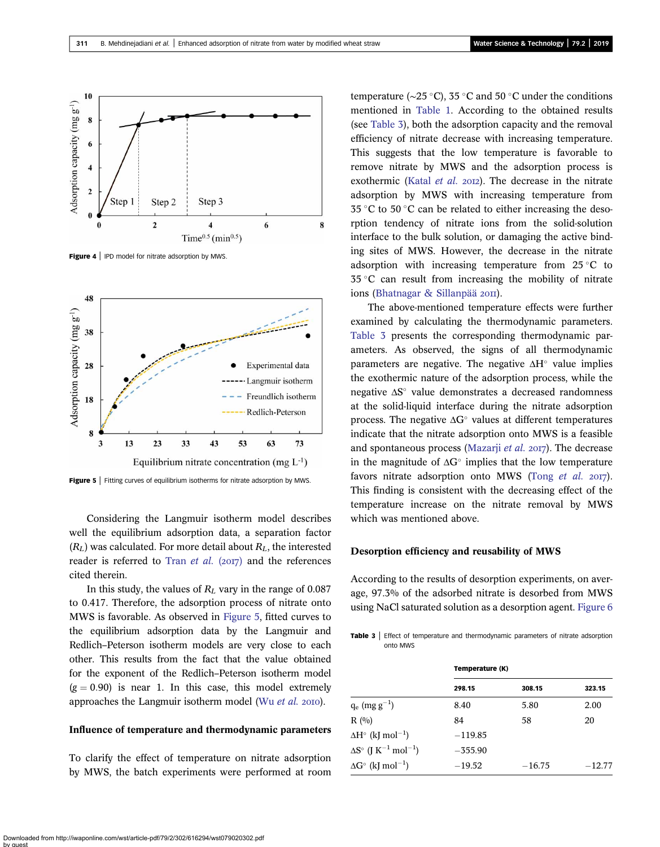<span id="page-9-0"></span>

Figure 4 | IPD model for nitrate adsorption by MWS.



**Figure 5** Fitting curves of equilibrium isotherms for nitrate adsorption by MWS.

Considering the Langmuir isotherm model describes well the equilibrium adsorption data, a separation factor  $(R_L)$  was calculated. For more detail about  $R_L$ , the interested reader is referred to Tran [et al.](#page-11-0)  $(2017)$  and the references cited therein.

In this study, the values of  $R_L$  vary in the range of 0.087 to 0.417. Therefore, the adsorption process of nitrate onto MWS is favorable. As observed in Figure 5, fitted curves to the equilibrium adsorption data by the Langmuir and Redlich–Peterson isotherm models are very close to each other. This results from the fact that the value obtained for the exponent of the Redlich–Peterson isotherm model  $(g = 0.90)$  is near 1. In this case, this model extremely approaches the Langmuir isotherm model (Wu [et al.](#page-11-0)  $20I0$ ).

#### Influence of temperature and thermodynamic parameters

To clarify the effect of temperature on nitrate adsorption by MWS, the batch experiments were performed at room temperature ( $\sim$ 25 °C), 35 °C and 50 °C under the conditions mentioned in [Table 1](#page-2-0). According to the obtained results (see Table 3), both the adsorption capacity and the removal efficiency of nitrate decrease with increasing temperature. This suggests that the low temperature is favorable to remove nitrate by MWS and the adsorption process is exothermic ([Katal](#page-10-0) et al. 2012). The decrease in the nitrate adsorption by MWS with increasing temperature from  $35^{\circ}$ C to  $50^{\circ}$ C can be related to either increasing the desorption tendency of nitrate ions from the solid-solution interface to the bulk solution, or damaging the active binding sites of MWS. However, the decrease in the nitrate adsorption with increasing temperature from  $25^{\circ}$ C to  $35^{\circ}$ C can result from increasing the mobility of nitrate ions ([Bhatnagar & Sillanpää](#page-10-0) 2011).

The above-mentioned temperature effects were further examined by calculating the thermodynamic parameters. Table 3 presents the corresponding thermodynamic parameters. As observed, the signs of all thermodynamic parameters are negative. The negative  $\Delta H^{\circ}$  value implies the exothermic nature of the adsorption process, while the negative  $\Delta S^{\circ}$  value demonstrates a decreased randomness at the solid-liquid interface during the nitrate adsorption process. The negative  $\Delta G^{\circ}$  values at different temperatures indicate that the nitrate adsorption onto MWS is a feasible and spontaneous process ([Mazarji](#page-11-0) *et al.* 2017). The decrease in the magnitude of  $\Delta G^{\circ}$  implies that the low temperature favors nitrate adsorption onto MWS (Tong [et al.](#page-11-0)  $2017$ ). This finding is consistent with the decreasing effect of the temperature increase on the nitrate removal by MWS which was mentioned above.

#### Desorption efficiency and reusability of MWS

According to the results of desorption experiments, on average, 97.3% of the adsorbed nitrate is desorbed from MWS using NaCl saturated solution as a desorption agent. [Figure 6](#page-10-0)

Table 3 | Effect of temperature and thermodynamic parameters of nitrate adsorption onto MWS

|                                                           | Temperature (K) |          |          |  |
|-----------------------------------------------------------|-----------------|----------|----------|--|
|                                                           | 298.15          | 308.15   | 323.15   |  |
| $q_e$ (mg $g^{-1}$ )                                      | 8.40            | 5.80     | 2.00     |  |
| R(0/0)                                                    | 84              | 58       | 20       |  |
| $\Delta H^{\circ}$ (kJ mol <sup>-1</sup> )                | $-119.85$       |          |          |  |
| $\Delta S^{\circ}$ (J K <sup>-1</sup> mol <sup>-1</sup> ) | $-355.90$       |          |          |  |
| $\Delta G^{\circ}$ (kJ mol <sup>-1</sup> )                | $-19.52$        | $-16.75$ | $-12.77$ |  |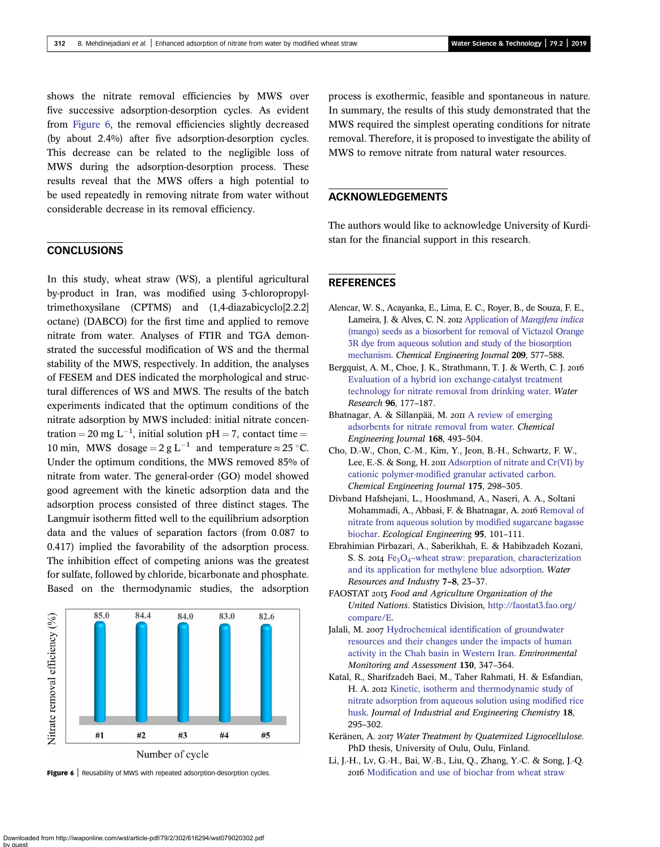<span id="page-10-0"></span>shows the nitrate removal efficiencies by MWS over five successive adsorption-desorption cycles. As evident from Figure 6, the removal efficiencies slightly decreased (by about 2.4%) after five adsorption-desorption cycles. This decrease can be related to the negligible loss of MWS during the adsorption-desorption process. These results reveal that the MWS offers a high potential to be used repeatedly in removing nitrate from water without considerable decrease in its removal efficiency.

# **CONCLUSIONS**

In this study, wheat straw (WS), a plentiful agricultural by-product in Iran, was modified using 3-chloropropyltrimethoxysilane (CPTMS) and (1,4-diazabicyclo[2.2.2] octane) (DABCO) for the first time and applied to remove nitrate from water. Analyses of FTIR and TGA demonstrated the successful modification of WS and the thermal stability of the MWS, respectively. In addition, the analyses of FESEM and DES indicated the morphological and structural differences of WS and MWS. The results of the batch experiments indicated that the optimum conditions of the nitrate adsorption by MWS included: initial nitrate concentration = 20 mg  $L^{-1}$ , initial solution pH = 7, contact time = 10 min, MWS dosage =  $2 \text{ g L}^{-1}$  and temperature  $\approx 25 \text{ }^{\circ}\text{C}$ . Under the optimum conditions, the MWS removed 85% of nitrate from water. The general-order (GO) model showed good agreement with the kinetic adsorption data and the adsorption process consisted of three distinct stages. The Langmuir isotherm fitted well to the equilibrium adsorption data and the values of separation factors (from 0.087 to 0.417) implied the favorability of the adsorption process. The inhibition effect of competing anions was the greatest for sulfate, followed by chloride, bicarbonate and phosphate. Based on the thermodynamic studies, the adsorption



process is exothermic, feasible and spontaneous in nature. In summary, the results of this study demonstrated that the MWS required the simplest operating conditions for nitrate removal. Therefore, it is proposed to investigate the ability of MWS to remove nitrate from natural water resources.

# ACKNOWLEDGEMENTS

The authors would like to acknowledge University of Kurdistan for the financial support in this research.

# **REFERENCES**

- Alencar, W. S., Acayanka, E., Lima, E. C., Royer, B., de Souza, F. E., Lameira, J. & Alves, C. N. 2012 Application of [Mangifera indica](http://dx.doi.org/10.1016/j.cej.2012.08.053) [\(mango\) seeds as a biosorbent for removal of Victazol Orange](http://dx.doi.org/10.1016/j.cej.2012.08.053) [3R dye from aqueous solution and study of the biosorption](http://dx.doi.org/10.1016/j.cej.2012.08.053) [mechanism](http://dx.doi.org/10.1016/j.cej.2012.08.053). Chemical Engineering Journal 209, 577–588.
- Bergquist, A. M., Choe, J. K., Strathmann, T. J. & Werth, C. J. 2016 [Evaluation of a hybrid ion exchange-catalyst treatment](http://dx.doi.org/10.1016/j.watres.2016.03.054) [technology for nitrate removal from drinking water](http://dx.doi.org/10.1016/j.watres.2016.03.054). Water Research 96, 177–187.
- Bhatnagar, A. & Sillanpää, M. 2011 [A review of emerging](http://dx.doi.org/10.1016/j.cej.2011.01.103) [adsorbents for nitrate removal from water](http://dx.doi.org/10.1016/j.cej.2011.01.103). Chemical Engineering Journal 168, 493–504.
- Cho, D.-W., Chon, C.-M., Kim, Y., Jeon, B.-H., Schwartz, F. W., Lee, E.-S. & Song, H.  $20\pi$  [Adsorption of nitrate and Cr\(VI\) by](http://dx.doi.org/10.1016/j.cej.2011.09.108) [cationic polymer-modified granular activated carbon.](http://dx.doi.org/10.1016/j.cej.2011.09.108) Chemical Engineering Journal 175, 298–305.
- Divband Hafshejani, L., Hooshmand, A., Naseri, A. A., Soltani Mohammadi, A., Abbasi, F. & Bhatnagar, A. 2016 [Removal of](http://dx.doi.org/10.1016/j.ecoleng.2016.06.035) [nitrate from aqueous solution by modified sugarcane bagasse](http://dx.doi.org/10.1016/j.ecoleng.2016.06.035) [biochar.](http://dx.doi.org/10.1016/j.ecoleng.2016.06.035) Ecological Engineering 95, 101–111.
- Ebrahimian Pirbazari, A., Saberikhah, E. & Habibzadeh Kozani, S. S. 2014  $Fe<sub>3</sub>O<sub>4</sub>$ -[wheat straw: preparation, characterization](http://dx.doi.org/10.1016/j.wri.2014.09.001) [and its application for methylene blue adsorption.](http://dx.doi.org/10.1016/j.wri.2014.09.001) Water Resources and Industry 7–8, 23–37.
- FAOSTAT 2013 Food and Agriculture Organization of the United Nations. Statistics Division, [http://faostat3.fao.org/](http://faostat3.fao.org/compare/E) [compare/E.](http://faostat3.fao.org/compare/E)
- Jalali, M. 2007 [Hydrochemical identification of groundwater](http://dx.doi.org/10.1007/s10661-006-9402-7) [resources and their changes under the impacts of human](http://dx.doi.org/10.1007/s10661-006-9402-7) [activity in the Chah basin in Western Iran.](http://dx.doi.org/10.1007/s10661-006-9402-7) Environmental Monitoring and Assessment 130, 347–364.
- Katal, R., Sharifzadeh Baei, M., Taher Rahmati, H. & Esfandian, H. A. 2012 [Kinetic, isotherm and thermodynamic study of](http://dx.doi.org/10.1016/j.jiec.2011.11.035) [nitrate adsorption from aqueous solution using modified rice](http://dx.doi.org/10.1016/j.jiec.2011.11.035) [husk.](http://dx.doi.org/10.1016/j.jiec.2011.11.035) Journal of Industrial and Engineering Chemistry 18, 295–302.
- Keränen, A. 2017 Water Treatment by Quaternized Lignocellulose. PhD thesis, University of Oulu, Oulu, Finland.
- Li, J.-H., Lv, G.-H., Bai, W.-B., Liu, Q., Zhang, Y.-C. & Song, J.-Q. Figure 6 | Reusability of MWS with repeated adsorption-desorption cycles. 2016 [Modification and use of biochar from wheat straw](http://dx.doi.org/10.1080/19443994.2014.994104)